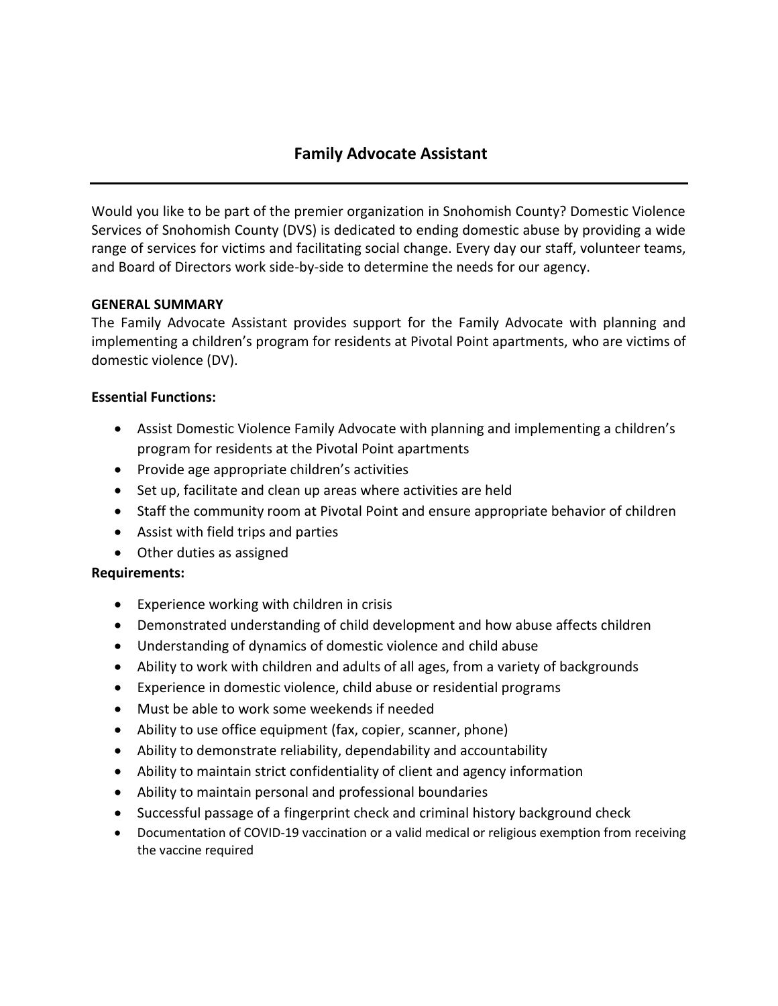## **Family Advocate Assistant**

Would you like to be part of the premier organization in Snohomish County? Domestic Violence Services of Snohomish County (DVS) is dedicated to ending domestic abuse by providing a wide range of services for victims and facilitating social change. Every day our staff, volunteer teams, and Board of Directors work side-by-side to determine the needs for our agency.

## **GENERAL SUMMARY**

The Family Advocate Assistant provides support for the Family Advocate with planning and implementing a children's program for residents at Pivotal Point apartments, who are victims of domestic violence (DV).

## **Essential Functions:**

- Assist Domestic Violence Family Advocate with planning and implementing a children's program for residents at the Pivotal Point apartments
- Provide age appropriate children's activities
- Set up, facilitate and clean up areas where activities are held
- Staff the community room at Pivotal Point and ensure appropriate behavior of children
- Assist with field trips and parties
- Other duties as assigned

## **Requirements:**

- Experience working with children in crisis
- Demonstrated understanding of child development and how abuse affects children
- Understanding of dynamics of domestic violence and child abuse
- Ability to work with children and adults of all ages, from a variety of backgrounds
- Experience in domestic violence, child abuse or residential programs
- Must be able to work some weekends if needed
- Ability to use office equipment (fax, copier, scanner, phone)
- Ability to demonstrate reliability, dependability and accountability
- Ability to maintain strict confidentiality of client and agency information
- Ability to maintain personal and professional boundaries
- Successful passage of a fingerprint check and criminal history background check
- Documentation of COVID-19 vaccination or a valid medical or religious exemption from receiving the vaccine required